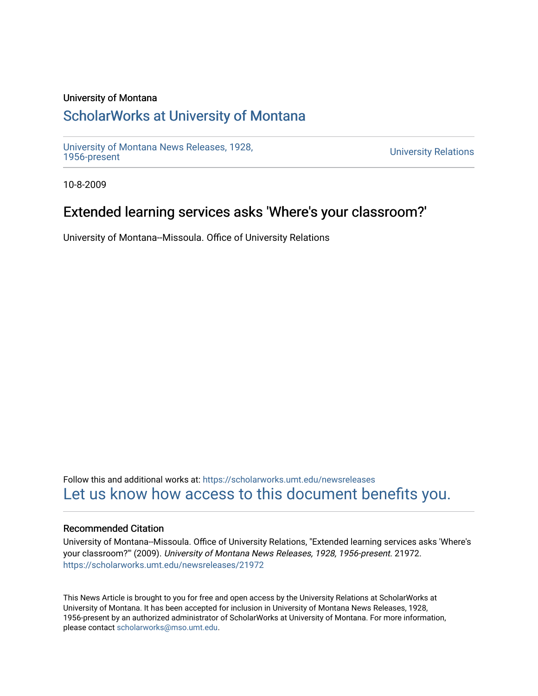### University of Montana

# [ScholarWorks at University of Montana](https://scholarworks.umt.edu/)

[University of Montana News Releases, 1928,](https://scholarworks.umt.edu/newsreleases) 

**University Relations** 

10-8-2009

## Extended learning services asks 'Where's your classroom?'

University of Montana--Missoula. Office of University Relations

Follow this and additional works at: [https://scholarworks.umt.edu/newsreleases](https://scholarworks.umt.edu/newsreleases?utm_source=scholarworks.umt.edu%2Fnewsreleases%2F21972&utm_medium=PDF&utm_campaign=PDFCoverPages) [Let us know how access to this document benefits you.](https://goo.gl/forms/s2rGfXOLzz71qgsB2) 

### Recommended Citation

University of Montana--Missoula. Office of University Relations, "Extended learning services asks 'Where's your classroom?'" (2009). University of Montana News Releases, 1928, 1956-present. 21972. [https://scholarworks.umt.edu/newsreleases/21972](https://scholarworks.umt.edu/newsreleases/21972?utm_source=scholarworks.umt.edu%2Fnewsreleases%2F21972&utm_medium=PDF&utm_campaign=PDFCoverPages) 

This News Article is brought to you for free and open access by the University Relations at ScholarWorks at University of Montana. It has been accepted for inclusion in University of Montana News Releases, 1928, 1956-present by an authorized administrator of ScholarWorks at University of Montana. For more information, please contact [scholarworks@mso.umt.edu.](mailto:scholarworks@mso.umt.edu)